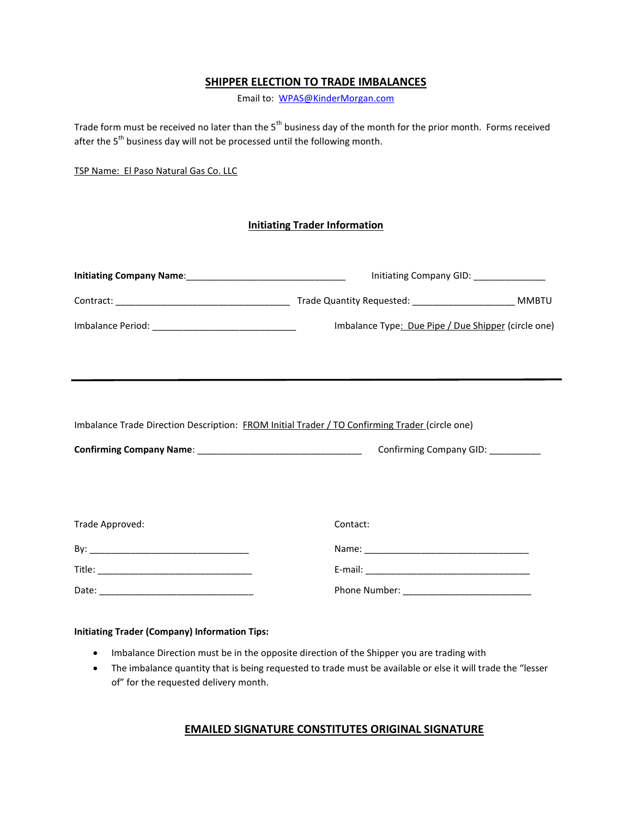# **SHIPPER ELECTION TO TRADE IMBALANCES**

Email to: [WPAS@KinderMorgan.com](mailto:WPAS@KinderMorgan.com)

Trade form must be received no later than the 5<sup>th</sup> business day of the month for the prior month. Forms received after the 5<sup>th</sup> business day will not be processed until the following month.

TSP Name: El Paso Natural Gas Co. LLC

#### **Initiating Trader Information**

|                                                                                                | Initiating Company GID: _______________             |
|------------------------------------------------------------------------------------------------|-----------------------------------------------------|
|                                                                                                |                                                     |
|                                                                                                | Imbalance Type: Due Pipe / Due Shipper (circle one) |
| Imbalance Trade Direction Description: FROM Initial Trader / TO Confirming Trader (circle one) |                                                     |
|                                                                                                |                                                     |
| Trade Approved:                                                                                | Contact:                                            |
|                                                                                                |                                                     |
|                                                                                                |                                                     |
|                                                                                                |                                                     |

#### **Initiating Trader (Company) Information Tips:**

- Imbalance Direction must be in the opposite direction of the Shipper you are trading with
- The imbalance quantity that is being requested to trade must be available or else it will trade the "lesser of" for the requested delivery month.

## **EMAILED SIGNATURE CONSTITUTES ORIGINAL SIGNATURE**